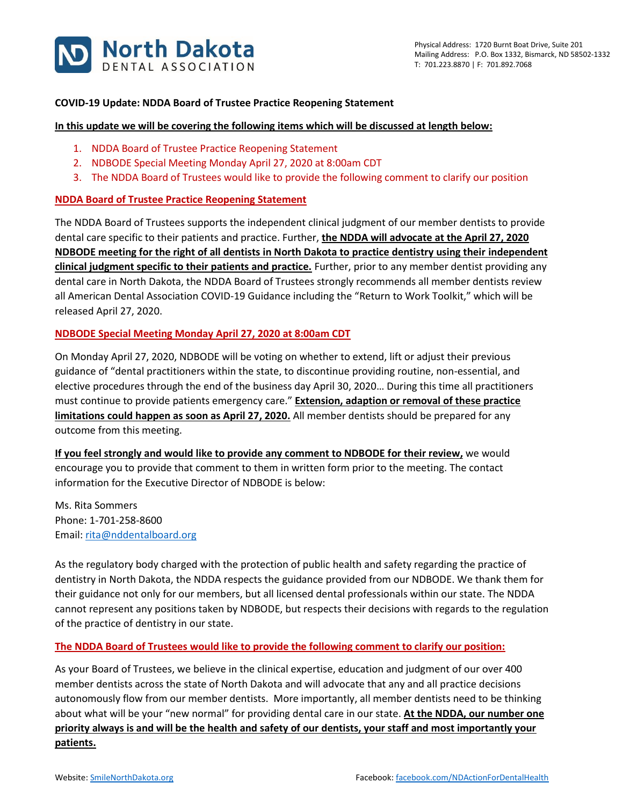

## **COVID-19 Update: NDDA Board of Trustee Practice Reopening Statement**

#### **In this update we will be covering the following items which will be discussed at length below:**

- 1. NDDA Board of Trustee Practice Reopening Statement
- 2. NDBODE Special Meeting Monday April 27, 2020 at 8:00am CDT
- 3. The NDDA Board of Trustees would like to provide the following comment to clarify our position

## **NDDA Board of Trustee Practice Reopening Statement**

The NDDA Board of Trustees supports the independent clinical judgment of our member dentists to provide dental care specific to their patients and practice. Further, **the NDDA will advocate at the April 27, 2020 NDBODE meeting for the right of all dentists in North Dakota to practice dentistry using their independent clinical judgment specific to their patients and practice.** Further, prior to any member dentist providing any dental care in North Dakota, the NDDA Board of Trustees strongly recommends all member dentists review all American Dental Association COVID-19 Guidance including the "Return to Work Toolkit," which will be released April 27, 2020.

# **NDBODE Special Meeting Monday April 27, 2020 at 8:00am CDT**

On Monday April 27, 2020, NDBODE will be voting on whether to extend, lift or adjust their previous guidance of "dental practitioners within the state, to discontinue providing routine, non-essential, and elective procedures through the end of the business day April 30, 2020… During this time all practitioners must continue to provide patients emergency care." **Extension, adaption or removal of these practice limitations could happen as soon as April 27, 2020.** All member dentists should be prepared for any outcome from this meeting.

**If you feel strongly and would like to provide any comment to NDBODE for their review,** we would encourage you to provide that comment to them in written form prior to the meeting. The contact information for the Executive Director of NDBODE is below:

Ms. Rita Sommers Phone: 1-701-258-8600 Email: [rita@nddentalboard.org](mailto:rita@nddentalboard.org)

As the regulatory body charged with the protection of public health and safety regarding the practice of dentistry in North Dakota, the NDDA respects the guidance provided from our NDBODE. We thank them for their guidance not only for our members, but all licensed dental professionals within our state. The NDDA cannot represent any positions taken by NDBODE, but respects their decisions with regards to the regulation of the practice of dentistry in our state.

#### **The NDDA Board of Trustees would like to provide the following comment to clarify our position:**

As your Board of Trustees, we believe in the clinical expertise, education and judgment of our over 400 member dentists across the state of North Dakota and will advocate that any and all practice decisions autonomously flow from our member dentists. More importantly, all member dentists need to be thinking about what will be your "new normal" for providing dental care in our state. **At the NDDA, our number one priority always is and will be the health and safety of our dentists, your staff and most importantly your patients.**